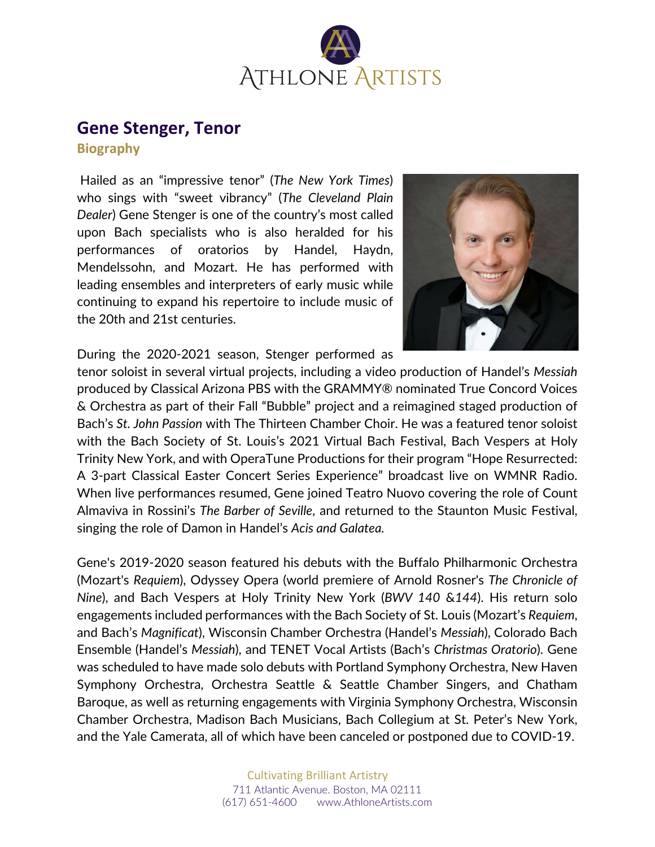

## **Gene Stenger, Tenor**

**Biography**

Hailed as an "impressive tenor" (*The New York Times*) who sings with "sweet vibrancy" (*The Cleveland Plain Dealer*) Gene Stenger is one of the country's most called upon Bach specialists who is also heralded for his performances of oratorios by Handel, Haydn, Mendelssohn, and Mozart. He has performed with leading ensembles and interpreters of early music while continuing to expand his repertoire to include music of the 20th and 21st centuries.



During the 2020-2021 season, Stenger performed as

tenor soloist in several virtual projects, including a video production of Handel's *Messiah* produced by Classical Arizona PBS with the GRAMMY® nominated True Concord Voices & Orchestra as part of their Fall "Bubble" project and a reimagined staged production of Bach's *St. John Passion* with The Thirteen Chamber Choir. He was a featured tenor soloist with the Bach Society of St. Louis's 2021 Virtual Bach Festival, Bach Vespers at Holy Trinity New York, and with OperaTune Productions for their program "Hope Resurrected: A 3-part Classical Easter Concert Series Experience" broadcast live on WMNR Radio. When live performances resumed, Gene joined Teatro Nuovo covering the role of Count Almaviva in Rossini's *The Barber of Seville*, and returned to the Staunton Music Festival, singing the role of Damon in Handel's *Acis and Galatea.*

Gene's 2019-2020 season featured his debuts with the Buffalo Philharmonic Orchestra (Mozart's *Requiem*), Odyssey Opera (world premiere of Arnold Rosner's *The Chronicle of Nine*), and Bach Vespers at Holy Trinity New York (*BWV 140* &*144*). His return solo engagements included performances with the Bach Society of St. Louis (Mozart's *Requiem*, and Bach's *Magnificat*), Wisconsin Chamber Orchestra (Handel's *Messiah*), Colorado Bach Ensemble (Handel's *Messiah*), and TENET Vocal Artists (Bach's *Christmas Oratorio*). Gene was scheduled to have made solo debuts with Portland Symphony Orchestra, New Haven Symphony Orchestra, Orchestra Seattle & Seattle Chamber Singers, and Chatham Baroque, as well as returning engagements with Virginia Symphony Orchestra, Wisconsin Chamber Orchestra, Madison Bach Musicians, Bach Collegium at St. Peter's New York, and the Yale Camerata, all of which have been canceled or postponed due to COVID-19.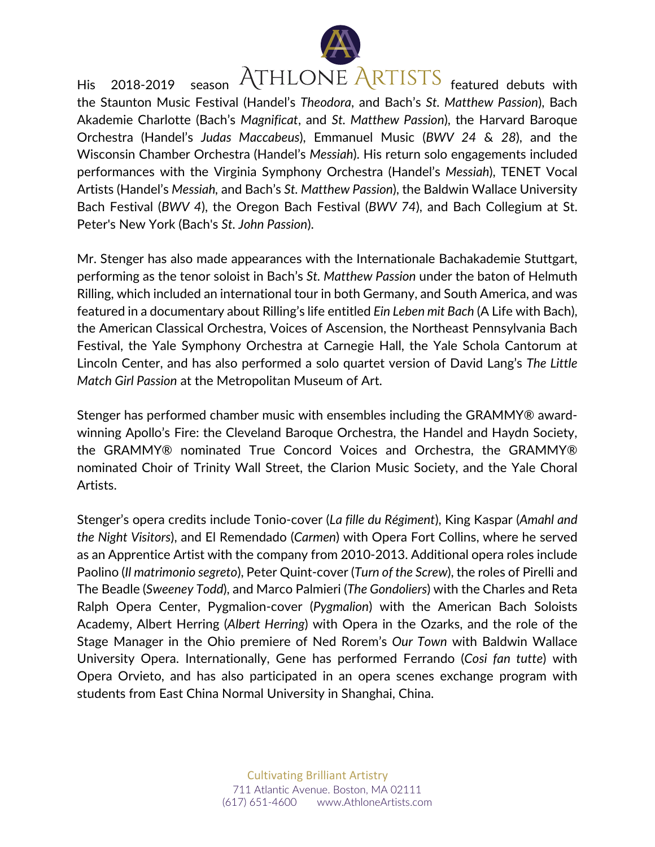

His 2018-2019 season ATHLONE ARTISTS featured debuts with the Staunton Music Festival (Handel's *Theodora*, and Bach's *St. Matthew Passion*), Bach Akademie Charlotte (Bach's *Magnificat*, and *St. Matthew Passion*), the Harvard Baroque Orchestra (Handel's *Judas Maccabeus*), Emmanuel Music (*BWV 24* & *28*), and the Wisconsin Chamber Orchestra (Handel's *Messiah*). His return solo engagements included performances with the Virginia Symphony Orchestra (Handel's *Messiah*), TENET Vocal Artists (Handel's *Messiah,* and Bach's *St. Matthew Passion*), the Baldwin Wallace University Bach Festival (*BWV 4*), the Oregon Bach Festival (*BWV 74*), and Bach Collegium at St. Peter's New York (Bach's *St. John Passion*).

Mr. Stenger has also made appearances with the Internationale Bachakademie Stuttgart, performing as the tenor soloist in Bach's *St. Matthew Passion* under the baton of Helmuth Rilling, which included an international tour in both Germany, and South America, and was featured in a documentary about Rilling's life entitled *Ein Leben mit Bach* (A Life with Bach), the American Classical Orchestra, Voices of Ascension, the Northeast Pennsylvania Bach Festival, the Yale Symphony Orchestra at Carnegie Hall, the Yale Schola Cantorum at Lincoln Center, and has also performed a solo quartet version of David Lang's *The Little Match Girl Passion* at the Metropolitan Museum of Art.

Stenger has performed chamber music with ensembles including the GRAMMY® awardwinning Apollo's Fire: the Cleveland Baroque Orchestra, the Handel and Haydn Society, the GRAMMY® nominated True Concord Voices and Orchestra, the GRAMMY® nominated Choir of Trinity Wall Street, the Clarion Music Society, and the Yale Choral Artists.

Stenger's opera credits include Tonio-cover (*La fille du Régiment*), King Kaspar (*Amahl and the Night Visitors*), and El Remendado (*Carmen*) with Opera Fort Collins, where he served as an Apprentice Artist with the company from 2010-2013. Additional opera roles include Paolino (*Il matrimonio segreto*), Peter Quint-cover (*Turn of the Screw*), the roles of Pirelli and The Beadle (*Sweeney Todd*), and Marco Palmieri (*The Gondoliers*) with the Charles and Reta Ralph Opera Center, Pygmalion-cover (*Pygmalion*) with the American Bach Soloists Academy, Albert Herring (*Albert Herring*) with Opera in the Ozarks, and the role of the Stage Manager in the Ohio premiere of Ned Rorem's *Our Town* with Baldwin Wallace University Opera. Internationally, Gene has performed Ferrando (*Cosi fan tutte*) with Opera Orvieto, and has also participated in an opera scenes exchange program with students from East China Normal University in Shanghai, China.